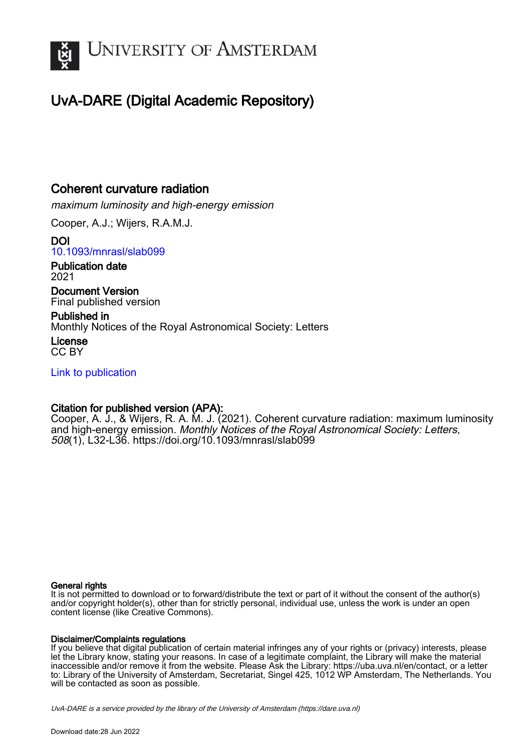

# UvA-DARE (Digital Academic Repository)

## Coherent curvature radiation

maximum luminosity and high-energy emission

Cooper, A.J.; Wijers, R.A.M.J.

DOI [10.1093/mnrasl/slab099](https://doi.org/10.1093/mnrasl/slab099)

Publication date 2021

Document Version Final published version

Published in Monthly Notices of the Royal Astronomical Society: Letters

License CC BY

[Link to publication](https://dare.uva.nl/personal/pure/en/publications/coherent-curvature-radiation(6326e1ef-34dd-455c-b270-8bd765f8d46c).html)

## Citation for published version (APA):

Cooper, A. J., & Wijers, R. A. M. J. (2021). Coherent curvature radiation: maximum luminosity and high-energy emission. Monthly Notices of the Royal Astronomical Society: Letters, 508(1), L32-L36.<https://doi.org/10.1093/mnrasl/slab099>

## General rights

It is not permitted to download or to forward/distribute the text or part of it without the consent of the author(s) and/or copyright holder(s), other than for strictly personal, individual use, unless the work is under an open content license (like Creative Commons).

## Disclaimer/Complaints regulations

If you believe that digital publication of certain material infringes any of your rights or (privacy) interests, please let the Library know, stating your reasons. In case of a legitimate complaint, the Library will make the material inaccessible and/or remove it from the website. Please Ask the Library: https://uba.uva.nl/en/contact, or a letter to: Library of the University of Amsterdam, Secretariat, Singel 425, 1012 WP Amsterdam, The Netherlands. You will be contacted as soon as possible.

UvA-DARE is a service provided by the library of the University of Amsterdam (http*s*://dare.uva.nl)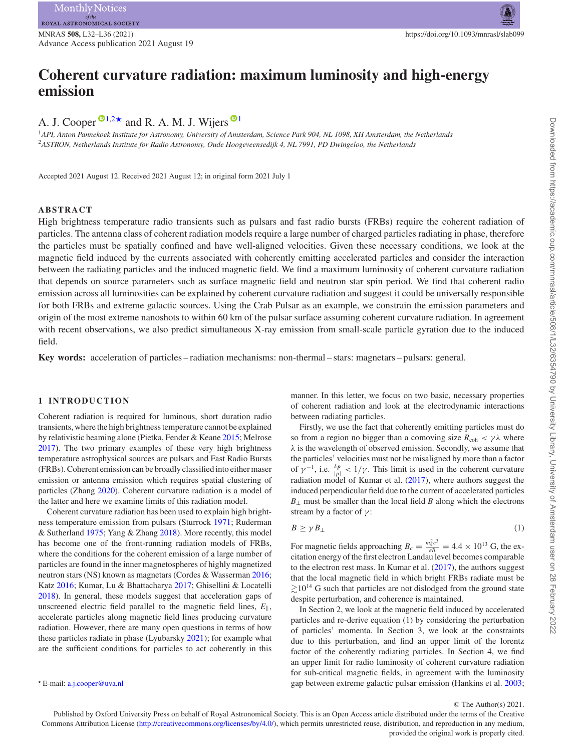Advance Access publication 2021 August 19

# **Coherent curvature radiation: maximum luminosity and high-energy emission**

A. J. Cooper  $\mathbf{D}^{1,2\star}$  $\mathbf{D}^{1,2\star}$  $\mathbf{D}^{1,2\star}$  $\mathbf{D}^{1,2\star}$  and R. A. M. J. Wijers  $\mathbf{D}^{1}$  $\mathbf{D}^{1}$  $\mathbf{D}^{1}$ 

<span id="page-1-1"></span><span id="page-1-0"></span><sup>1</sup>*API, Anton Pannekoek Institute for Astronomy, University of Amsterdam, Science Park 904, NL 1098, XH Amsterdam, the Netherlands* <sup>2</sup>*ASTRON, Netherlands Institute for Radio Astronomy, Oude Hoogeveensedijk 4, NL 7991, PD Dwingeloo, the Netherlands*

Accepted 2021 August 12. Received 2021 August 12; in original form 2021 July 1

## **ABSTRACT**

High brightness temperature radio transients such as pulsars and fast radio bursts (FRBs) require the coherent radiation of particles. The antenna class of coherent radiation models require a large number of charged particles radiating in phase, therefore the particles must be spatially confined and have well-aligned velocities. Given these necessary conditions, we look at the magnetic field induced by the currents associated with coherently emitting accelerated particles and consider the interaction between the radiating particles and the induced magnetic field. We find a maximum luminosity of coherent curvature radiation that depends on source parameters such as surface magnetic field and neutron star spin period. We find that coherent radio emission across all luminosities can be explained by coherent curvature radiation and suggest it could be universally responsible for both FRBs and extreme galactic sources. Using the Crab Pulsar as an example, we constrain the emission parameters and origin of the most extreme nanoshots to within 60 km of the pulsar surface assuming coherent curvature radiation. In agreement with recent observations, we also predict simultaneous X-ray emission from small-scale particle gyration due to the induced field.

**Key words:** acceleration of particles – radiation mechanisms: non-thermal – stars: magnetars – pulsars: general.

## **1 INTRODUCTION**

Coherent radiation is required for luminous, short duration radio transients, where the high brightness temperature cannot be explained by relativistic beaming alone (Pietka, Fender & Keane [2015;](#page-5-0) Melrose [2017\)](#page-5-1). The two primary examples of these very high brightness temperature astrophysical sources are pulsars and Fast Radio Bursts (FRBs). Coherent emission can be broadly classified into either maser emission or antenna emission which requires spatial clustering of particles (Zhang [2020\)](#page-5-2). Coherent curvature radiation is a model of the latter and here we examine limits of this radiation model.

Coherent curvature radiation has been used to explain high brightness temperature emission from pulsars (Sturrock [1971;](#page-5-3) Ruderman & Sutherland [1975;](#page-5-4) Yang & Zhang [2018\)](#page-5-5). More recently, this model has become one of the front-running radiation models of FRBs, where the conditions for the coherent emission of a large number of particles are found in the inner magnetospheres of highly magnetized neutron stars (NS) known as magnetars (Cordes & Wasserman [2016;](#page-5-6) Katz [2016;](#page-5-7) Kumar, Lu & Bhattacharya [2017;](#page-5-8) Ghisellini & Locatelli [2018\)](#page-5-9). In general, these models suggest that acceleration gaps of unscreened electric field parallel to the magnetic field lines,  $E_{\parallel}$ , accelerate particles along magnetic field lines producing curvature radiation. However, there are many open questions in terms of how these particles radiate in phase (Lyubarsky [2021\)](#page-5-10); for example what are the sufficient conditions for particles to act coherently in this manner. In this letter, we focus on two basic, necessary properties of coherent radiation and look at the electrodynamic interactions between radiating particles.

Firstly, we use the fact that coherently emitting particles must do so from a region no bigger than a comoving size  $R_{\text{coh}} < \gamma \lambda$  where *λ* is the wavelength of observed emission. Secondly, we assume that the particles' velocities must not be misaligned by more than a factor of  $\gamma^{-1}$ , i.e.  $\frac{\delta p}{|\rho|} < 1/\gamma$ . This limit is used in the coherent curvature radiation model of Kumar et al. [\(2017\)](#page-5-8), where authors suggest the induced perpendicular field due to the current of accelerated particles  $B<sub>⊥</sub>$  must be smaller than the local field *B* along which the electrons stream by a factor of *γ* :

$$
B \ge \gamma B_{\perp} \tag{1}
$$

For magnetic fields approaching  $B_c = \frac{m_e^2 c^3}{e \hbar} = 4.4 \times 10^{13}$  G, the excitation energy of the first electron Landau level becomes comparable to the electron rest mass. In Kumar et al. [\(2017\)](#page-5-8), the authors suggest that the local magnetic field in which bright FRBs radiate must be  $\gtrsim$  10<sup>14</sup> G such that particles are not dislodged from the ground state despite perturbation, and coherence is maintained.

In Section 2, we look at the magnetic field induced by accelerated particles and re-derive equation (1) by considering the perturbation of particles' momenta. In Section 3, we look at the constraints due to this perturbation, and find an upper limit of the lorentz factor of the coherently radiating particles. In Section 4, we find an upper limit for radio luminosity of coherent curvature radiation for sub-critical magnetic fields, in agreement with the luminosity gap between extreme galactic pulsar emission (Hankins et al. [2003;](#page-5-11)

<span id="page-1-2"></span>*-* E-mail: [a.j.cooper@uva.nl](mailto:a.j.cooper@uva.nl)

<sup>C</sup> The Author(s) 2021.

Published by Oxford University Press on behalf of Royal Astronomical Society. This is an Open Access article distributed under the terms of the Creative Commons Attribution License [\(http://creativecommons.org/licenses/by/4.0/\)](http://creativecommons.org/licenses/by/4.0/), which permits unrestricted reuse, distribution, and reproduction in any medium, provided the original work is properly cited.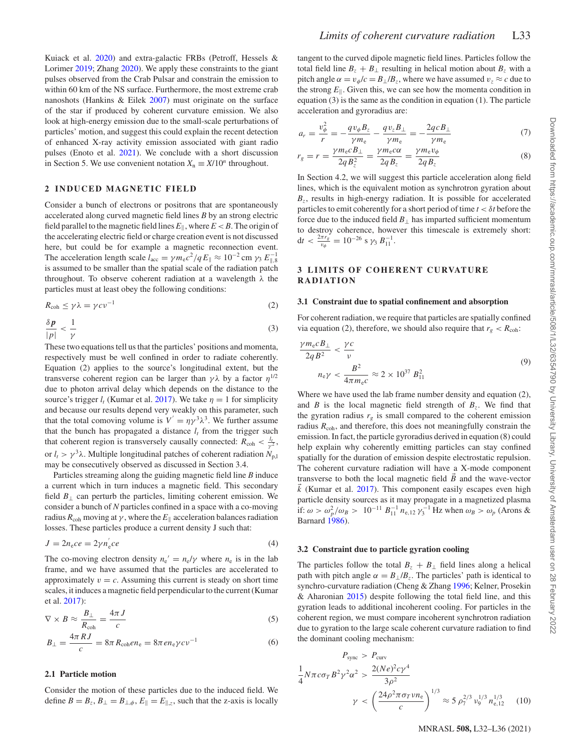Kuiack et al. [2020\)](#page-5-12) and extra-galactic FRBs (Petroff, Hessels & Lorimer [2019;](#page-5-13) Zhang [2020\)](#page-5-2). We apply these constraints to the giant pulses observed from the Crab Pulsar and constrain the emission to within 60 km of the NS surface. Furthermore, the most extreme crab nanoshots (Hankins & Eilek [2007\)](#page-5-14) must originate on the surface of the star if produced by coherent curvature emission. We also look at high-energy emission due to the small-scale perturbations of particles' motion, and suggest this could explain the recent detection of enhanced X-ray activity emission associated with giant radio pulses (Enoto et al. [2021\)](#page-5-15). We conclude with a short discussion in Section 5. We use convenient notation  $X_n \equiv X/10^n$  throughout.

## **2 INDUCED MAGNETIC FIELD**

Consider a bunch of electrons or positrons that are spontaneously accelerated along curved magnetic field lines *B* by an strong electric field parallel to the magnetic field lines  $E_{\parallel}$ , where  $E < B$ . The origin of the accelerating electric field or charge creation event is not discussed here, but could be for example a magnetic reconnection event. The acceleration length scale  $l_{\text{acc}} = \gamma m_{\text{e}}c^2/qE_{\parallel} \approx 10^{-2} \text{ cm } \gamma_3 E_{\parallel,8}^{-1}$ is assumed to be smaller than the spatial scale of the radiation patch throughout. To observe coherent radiation at a wavelength *λ* the particles must at least obey the following conditions:

$$
R_{\rm coh} \le \gamma \lambda = \gamma c \nu^{-1} \tag{2}
$$

$$
\frac{\delta p}{|p|} < \frac{1}{\gamma} \tag{3}
$$

These two equations tell us that the particles' positions and momenta, respectively must be well confined in order to radiate coherently. Equation (2) applies to the source's longitudinal extent, but the transverse coherent region can be larger than  $γλ$  by a factor  $η<sup>1/2</sup>$ due to photon arrival delay which depends on the distance to the source's trigger  $l_t$  (Kumar et al. [2017\)](#page-5-8). We take  $\eta = 1$  for simplicity and because our results depend very weakly on this parameter, such that the total comoving volume is  $V' = \eta \gamma^3 \lambda^3$ . We further assume that the bunch has propagated a distance  $l_t$  from the trigger such that coherent region is transversely causally connected:  $R_{\text{coh}} < \frac{l_t}{\gamma^2}$ , or  $l_t > \gamma^3 \lambda$ . Multiple longitudinal patches of coherent radiation  $N_{p,l}$ may be consecutively observed as discussed in Section 3.4.

Particles streaming along the guiding magnetic field line *B* induce a current which in turn induces a magnetic field. This secondary field  $B_{\perp}$  can perturb the particles, limiting coherent emission. We consider a bunch of *N* particles confined in a space with a co-moving radius  $R_{\rm coh}$  moving at  $\gamma$  , where the  $E_\parallel$  acceleration balances radiation losses. These particles produce a current density J such that:

$$
J = 2n_e ce = 2\gamma n_e' ce
$$
 (4)

The co-moving electron density  $n_e' = n_e/\gamma$  where  $n_e$  is in the lab frame, and we have assumed that the particles are accelerated to approximately  $v = c$ . Assuming this current is steady on short time scales, it induces a magnetic field perpendicular to the current (Kumar et al. [2017\)](#page-5-8):

$$
\nabla \times B \approx \frac{B_{\perp}}{R_{\text{coh}}} = \frac{4\pi J}{c}
$$
 (5)

$$
B_{\perp} = \frac{4\pi RJ}{c} = 8\pi R_{\text{coh}} en_e = 8\pi en_e \gamma cv^{-1}
$$
 (6)

### **2.1 Particle motion**

Consider the motion of these particles due to the induced field. We define  $B = B_z$ ,  $B_{\perp} = B_{\perp,\phi}$ ,  $E_{\parallel} = E_{\parallel,z}$ , such that the z-axis is locally

tangent to the curved dipole magnetic field lines. Particles follow the total field line  $B_z + B_\perp$  resulting in helical motion about  $B_z$  with a pitch angle  $\alpha = v_{\phi}/c = B_{\perp}/B_z$ , where we have assumed  $v_z \approx c$  due to the strong  $E_{\parallel}$ . Given this, we can see how the momenta condition in equation (3) is the same as the condition in equation (1). The particle acceleration and gyroradius are:

$$
a_r = \frac{v_{\phi}^2}{r} = -\frac{qv_{\phi}B_z}{\gamma m_e} - \frac{qv_zB_{\perp}}{\gamma m_e} = -\frac{2qcB_{\perp}}{\gamma m_e} \tag{7}
$$

$$
r_g = r = \frac{\gamma m_e c B_\perp}{2q B_z^2} = \frac{\gamma m_e c \alpha}{2q B_z} = \frac{\gamma m_e v_\phi}{2q B_z} \tag{8}
$$

In Section 4.2, we will suggest this particle acceleration along field lines, which is the equivalent motion as synchrotron gyration about  $B<sub>z</sub>$ , results in high-energy radiation. It is possible for accelerated particles to emit coherently for a short period of time *t < δt* before the force due to the induced field  $B<sub>⊥</sub>$  has imparted sufficient momentum to destroy coherence, however this timescale is extremely short:  $dt < \frac{2\pi r_g}{v_\phi} = 10^{-26}$  s  $\gamma_3 B_{11}^{-1}$ .

## **3 LIMITS OF COHERENT CURVATURE RADIATION**

#### **3.1 Constraint due to spatial confinement and absorption**

For coherent radiation, we require that particles are spatially confined via equation (2), therefore, we should also require that  $r_g < R_{coh}$ .

$$
\frac{\gamma m_e c B_\perp}{2q B^2} < \frac{\gamma c}{\nu}
$$
\n
$$
n_e \gamma < \frac{B^2}{4\pi m_e c} \approx 2 \times 10^{37} B_{11}^2 \tag{9}
$$

Where we have used the lab frame number density and equation (2), and *B* is the local magnetic field strength of  $B<sub>z</sub>$ . We find that the gyration radius  $r_g$  is small compared to the coherent emission radius  $R<sub>coh</sub>$ , and therefore, this does not meaningfully constrain the emission. In fact, the particle gyroradius derived in equation (8) could help explain why coherently emitting particles can stay confined spatially for the duration of emission despite electrostatic repulsion. The coherent curvature radiation will have a X-mode component transverse to both the local magnetic field *B* and the wave-vector  $\vec{k}$  (Kumar et al. [2017\)](#page-5-8). This component easily escapes even high particle density sources as it may propagate in a magnetized plasma if:  $ω > ω<sub>p</sub><sup>2</sup> / ω<sub>B</sub> > 10<sup>-11</sup> B<sub>11</sub><sup>-1</sup> n<sub>e,12</sub> γ<sub>3</sub><sup>-1</sup> Hz when ω<sub>B</sub> > ω<sub>p</sub> (Arons &$ Barnard [1986\)](#page-5-16).

## **3.2 Constraint due to particle gyration cooling**

The particles follow the total  $B_z + B_\perp$  field lines along a helical path with pitch angle  $\alpha = B_{\perp}/B_z$ . The particles' path is identical to synchro-curvature radiation (Cheng & Zhang [1996;](#page-5-17) Kelner, Prosekin & Aharonian [2015\)](#page-5-18) despite following the total field line, and this gyration leads to additional incoherent cooling. For particles in the coherent region, we must compare incoherent synchrotron radiation due to gyration to the large scale coherent curvature radiation to find the dominant cooling mechanism:

$$
P_{\text{sync}} > P_{\text{curv}}
$$
  
\n
$$
\frac{1}{4} N \pi c \sigma_T B^2 \gamma^2 \alpha^2 > \frac{2(Ne)^2 c \gamma^4}{3 \rho^2}
$$
  
\n
$$
\gamma < \left(\frac{24 \rho^2 \pi \sigma_T v n_e}{c}\right)^{1/3} \approx 5 \rho_7^{2/3} v_9^{1/3} n_{e,12}^{1/3}
$$
 (10)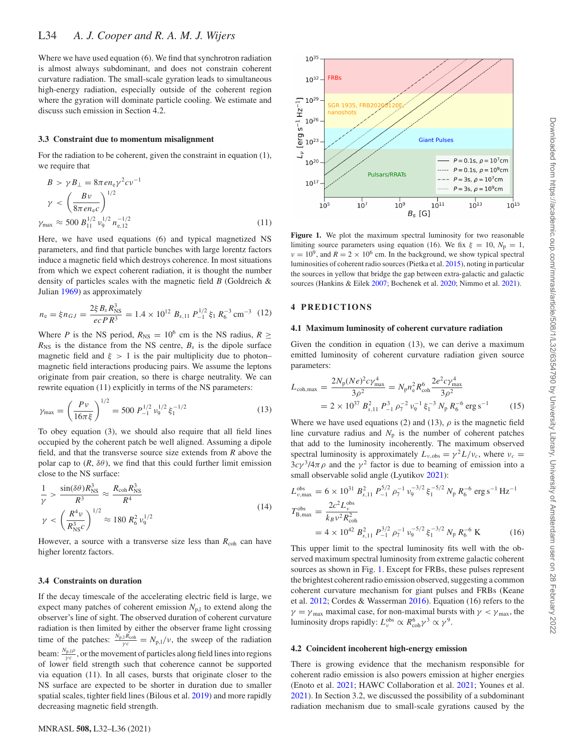Where we have used equation (6). We find that synchrotron radiation is almost always subdominant, and does not constrain coherent curvature radiation. The small-scale gyration leads to simultaneous high-energy radiation, especially outside of the coherent region where the gyration will dominate particle cooling. We estimate and discuss such emission in Section 4.2.

#### **3.3 Constraint due to momentum misalignment**

For the radiation to be coherent, given the constraint in equation (1). we require that

$$
B > \gamma B_{\perp} = 8\pi e n_e \gamma^2 c \nu^{-1}
$$
  
\n
$$
\gamma < \left(\frac{B \nu}{8\pi e n_e c}\right)^{1/2}
$$
  
\n
$$
\gamma_{\text{max}} \approx 500 B_{11}^{1/2} \nu_9^{1/2} n_{e,12}^{-1/2}
$$
 (11)

Here, we have used equations (6) and typical magnetized NS parameters, and find that particle bunches with large lorentz factors induce a magnetic field which destroys coherence. In most situations from which we expect coherent radiation, it is thought the number density of particles scales with the magnetic field *B* (Goldreich & Julian [1969\)](#page-5-19) as approximately

$$
n_{\rm e} = \xi n_{GJ} = \frac{2\xi B_s R_{\rm NS}^3}{ecPR^3} = 1.4 \times 10^{12} B_{s,11} P_{-1}^{1/2} \xi_1 R_6^{-3} \text{ cm}^{-3} (12)
$$

Where *P* is the NS period,  $R_{NS} = 10^6$  cm is the NS radius,  $R \ge$  $R_{\text{NS}}$  is the distance from the NS centre,  $B_s$  is the dipole surface magnetic field and  $\xi > 1$  is the pair multiplicity due to photon– magnetic field interactions producing pairs. We assume the leptons originate from pair creation, so there is charge neutrality. We can rewrite equation (11) explicitly in terms of the NS parameters:

$$
\gamma_{\text{max}} = \left(\frac{P v}{16\pi\xi}\right)^{1/2} = 500 P_{-1}^{1/2} v_9^{1/2} \xi_1^{-1/2} \tag{13}
$$

To obey equation (3), we should also require that all field lines occupied by the coherent patch be well aligned. Assuming a dipole field, and that the transverse source size extends from *R* above the polar cap to  $(R, \delta\theta)$ , we find that this could further limit emission close to the NS surface:

$$
\frac{1}{\gamma} > \frac{\sin(\delta\theta)R_{\rm NS}^3}{R^3} \approx \frac{R_{\rm coh}R_{\rm NS}^3}{R^4}
$$
\n
$$
\gamma < \left(\frac{R^4\nu}{R_{\rm NS}^3c}\right)^{1/2} \approx 180 R_6^2 \nu_9^{1/2}
$$
\n(14)

However, a source with a transverse size less than  $R_{coh}$  can have higher lorentz factors.

#### **3.4 Constraints on duration**

If the decay timescale of the accelerating electric field is large, we expect many patches of coherent emission  $N_{p,l}$  to extend along the observer's line of sight. The observed duration of coherent curvature radiation is then limited by either the observer frame light crossing time of the patches:  $\frac{N_{p,l}R_{coh}}{yc} = N_{p,l}/v$ , the sweep of the radiation beam:  $\frac{N_{p,l\rho}}{\gamma c}$ , or the movement of particles along field lines into regions of lower field strength such that coherence cannot be supported via equation (11). In all cases, bursts that originate closer to the NS surface are expected to be shorter in duration due to smaller spatial scales, tighter field lines (Bilous et al. [2019\)](#page-5-20) and more rapidly decreasing magnetic field strength.

<span id="page-3-0"></span>

Figure 1. We plot the maximum spectral luminosity for two reasonable limiting source parameters using equation (16). We fix  $\xi = 10$ ,  $N_p = 1$ ,  $\nu = 10^9$ , and  $R = 2 \times 10^6$  cm. In the background, we show typical spectral luminosities of coherent radio sources (Pietka et al. [2015\)](#page-5-0), noting in particular the sources in yellow that bridge the gap between extra-galactic and galactic sources (Hankins & Eilek [2007;](#page-5-14) Bochenek et al. [2020;](#page-5-21) Nimmo et al. [2021\)](#page-5-22).

#### **4 PREDICTIONS**

#### **4.1 Maximum luminosity of coherent curvature radiation**

Given the condition in equation (13), we can derive a maximum emitted luminosity of coherent curvature radiation given source parameters:

$$
L_{\text{coh,max}} = \frac{2N_{\text{p}}(Ne)^2 c\gamma_{\text{max}}^4}{3\rho^2} = N_{\text{p}} n_{\text{e}}^2 R_{\text{coh}}^6 \frac{2e^2 c\gamma_{\text{max}}^4}{3\rho^2}
$$
  
= 2 × 10<sup>37</sup> B<sub>s,11</sub><sup>2</sup> P<sub>-1</sub><sup>3</sup>  $\rho_7^{-2} v_9^{-1} \xi_1^{-3} N_{\text{p}} R_6^{-6}$  erg s<sup>-1</sup> (15)

Where we have used equations (2) and (13),  $\rho$  is the magnetic field line curvature radius and  $N_p$  is the number of coherent patches that add to the luminosity incoherently. The maximum observed spectral luminosity is approximately  $L_{\nu,obs} = \gamma^2 L / \nu_c$ , where  $\nu_c =$  $3c\gamma^3/4\pi\rho$  and the  $\gamma^2$  factor is due to beaming of emission into a small observable solid angle (Lyutikov [2021\)](#page-5-23):

$$
L_{\nu,\text{max}}^{\text{obs}} = 6 \times 10^{31} B_{s,11}^2 P_{-1}^{5/2} \rho_7^{-1} \nu_9^{-3/2} \xi_1^{-5/2} N_p R_6^{-6} \text{ erg s}^{-1} \text{Hz}^{-1}
$$
  
\n
$$
T_{\text{B,max}}^{\text{obs}} = \frac{2c^2 L_{\nu}^{\text{obs}}}{k_B \nu^2 R_{\text{coh}}^2}
$$
  
\n= 4 × 10<sup>42</sup> B<sub>s,11</sub><sup>2</sup> P<sub>-1</sub><sup>3/2</sup> \rho\_7^{-1} \nu\_9^{-5/2} \xi\_1^{-3/2} N\_p R\_6^{-6} \text{K} (16)

This upper limit to the spectral luminosity fits well with the observed maximum spectral luminosity from extreme galactic coherent sources as shown in Fig. [1.](#page-3-0) Except for FRBs, these pulses represent the brightest coherent radio emission observed, suggesting a common coherent curvature mechanism for giant pulses and FRBs (Keane et al. [2012;](#page-5-24) Cordes & Wasserman [2016\)](#page-5-6). Equation (16) refers to the  $\gamma = \gamma_{\text{max}}$  maximal case, for non-maximal bursts with  $\gamma < \gamma_{\text{max}}$ , the luminosity drops rapidly:  $L_v^{\text{obs}} \propto R_{\text{coh}}^6 \gamma^3 \propto \gamma^9$ .

#### **4.2 Coincident incoherent high-energy emission**

There is growing evidence that the mechanism responsible for coherent radio emission is also powers emission at higher energies (Enoto et al. [2021;](#page-5-15) HAWC Collaboration et al. [2021;](#page-5-25) Younes et al. [2021\)](#page-5-26). In Section 3.2, we discussed the possibility of a subdominant radiation mechanism due to small-scale gyrations caused by the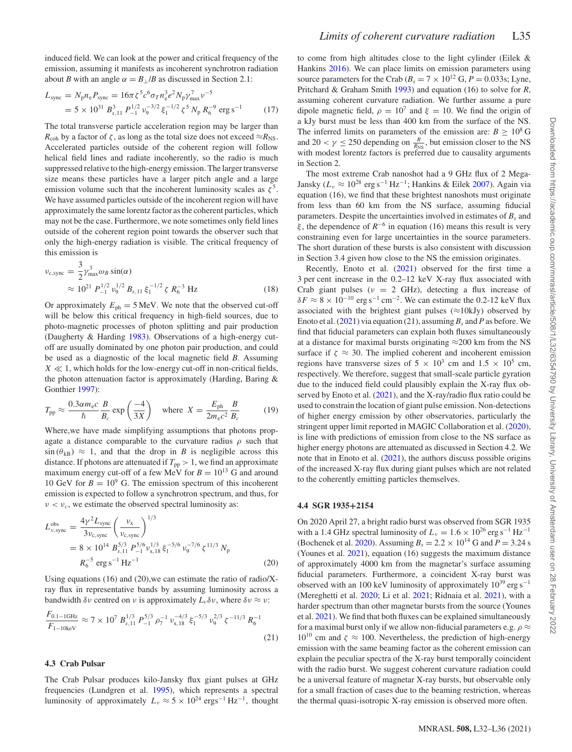$$
L_{\text{sync}} = N_{\text{p}} n_{\text{e}} P_{\text{sync}} = 16\pi \zeta^5 c^6 \sigma_T n_{\text{e}}^3 e^2 N_{\text{p}} \gamma_{\text{max}}^7 \nu^{-5}
$$
  
= 5 × 10<sup>31</sup> B<sub>s,11</sub><sup>3</sup> P<sub>-1</sub><sup>1/2</sup> v<sub>9</sub><sup>-3/2</sup>  $\xi_1^{-1/2} \zeta^5 N_{\text{p}} R_{\text{e}}^{-9} \text{ erg s}^{-1}$  (17)

The total transverse particle acceleration region may be larger than  $R_{\rm coh}$  by a factor of  $\zeta$ , as long as the total size does not exceed  $\approx R_{\rm NS}$ . Accelerated particles outside of the coherent region will follow helical field lines and radiate incoherently, so the radio is much suppressed relative to the high-energy emission. The larger transverse size means these particles have a larger pitch angle and a large emission volume such that the incoherent luminosity scales as  $\zeta^5$ . We have assumed particles outside of the incoherent region will have approximately the same lorentz factor as the coherent particles, which may not be the case. Furthermore, we note sometimes only field lines outside of the coherent region point towards the observer such that only the high-energy radiation is visible. The critical frequency of this emission is

$$
\nu_{\rm c, sync} = \frac{3}{2} \gamma_{\rm max}^3 \omega_B \sin(\alpha)
$$
  
 
$$
\approx 10^{21} P_{-1}^{1/2} \nu_9^{1/2} B_{s, 11} \xi_1^{-1/2} \zeta R_6^{-3} Hz
$$
 (18)

Or approximately  $E_{ph} = 5$  MeV. We note that the observed cut-off will be below this critical frequency in high-field sources, due to photo-magnetic processes of photon splitting and pair production (Daugherty & Harding [1983\)](#page-5-27). Observations of a high-energy cutoff are usually dominated by one photon pair production, and could be used as a diagnostic of the local magnetic field *B*. Assuming  $X \ll 1$ , which holds for the low-energy cut-off in non-critical fields, the photon attenuation factor is approximately (Harding, Baring & Gonthier [1997\)](#page-5-28):

$$
T_{\rm pp} \approx \frac{0.3 \alpha m_{\rm e}c}{\hbar} \frac{B}{B_c} \exp\left(\frac{-4}{3X}\right) \quad \text{where} \quad X = \frac{E_{\rm ph}}{2m_{\rm e}c^2} \frac{B}{B_c} \tag{19}
$$

Where,we have made simplifying assumptions that photons propagate a distance comparable to the curvature radius  $\rho$  such that  $\sin (\theta_{kB}) \approx 1$ , and that the drop in *B* is negligible across this distance. If photons are attenuated if  $T_{\text{pp}} > 1$ , we find an approximate maximum energy cut-off of a few MeV for  $B = 10^{13}$  G and around 10 GeV for  $B = 10^9$  G. The emission spectrum of this incoherent emission is expected to follow a synchrotron spectrum, and thus, for  $\nu < \nu_c$ , we estimate the observed spectral luminosity as:

$$
L_{\nu,\text{sync}}^{\text{obs}} = \frac{4\gamma^2 L_{\text{sync}}}{3\nu_{\text{c,sync}}} \left(\frac{\nu_{\text{x}}}{\nu_{\text{c,sync}}}\right)^{1/3}
$$
  
= 8 × 10<sup>14</sup> B<sub>s,11</sub><sup>5/3</sup> P<sub>1</sub><sup>5/6</sup>  $\nu_{\text{av}}^{1/3}$   $\xi_1^{-5/6}$   $\nu_9^{-7/6}$   $\zeta^{11/3}$  N<sub>p</sub>  
 $R_6^{-5}$  erg s<sup>-1</sup> Hz<sup>-1</sup> (20)

Using equations (16) and (20),we can estimate the ratio of radio/Xray flux in representative bands by assuming luminosity across a bandwidth  $\delta \nu$  centred on  $\nu$  is approximately  $L_{\nu} \delta \nu$ , where  $\delta \nu \approx \nu$ :

$$
\frac{F_{0.1-1\text{GHz}}}{F_{1-10\text{keV}}} \approx 7 \times 10^7 \ B_{s,11}^{1/3} \ P_{-1}^{5/3} \ \rho_7^{-1} \ \nu_{x,18}^{-4/3} \ \xi_1^{-5/3} \ \nu_9^{2/3} \ \zeta^{-11/3} \ R_6^{-1} \tag{21}
$$

## **4.3 Crab Pulsar**

The Crab Pulsar produces kilo-Jansky flux giant pulses at GHz frequencies (Lundgren et al. [1995\)](#page-5-29), which represents a spectral luminosity of approximately  $L_v \approx 5 \times 10^{24} \text{ ergs}^{-1} \text{ Hz}^{-1}$ , thought to come from high altitudes close to the light cylinder (Eilek & Hankins [2016\)](#page-5-30). We can place limits on emission parameters using source parameters for the Crab ( $B_s = 7 \times 10^{12}$  G,  $P = 0.033$ s; Lyne, Pritchard & Graham Smith [1993\)](#page-5-31) and equation (16) to solve for *R*, assuming coherent curvature radiation. We further assume a pure dipole magnetic field,  $\rho = 10^7$  and  $\xi = 10$ . We find the origin of a kJy burst must be less than 400 km from the surface of the NS. The inferred limits on parameters of the emission are:  $B \ge 10^8$  G and  $20 < \gamma \le 250$  depending on  $\frac{R}{R_{\text{NS}}}$ , but emission closer to the NS with modest lorentz factors is preferred due to causality arguments in Section 2.

The most extreme Crab nanoshot had a 9 GHz flux of 2 Mega-Jansky (*Lν* <sup>≈</sup> 1028 erg s−<sup>1</sup> Hz−1; Hankins & Eilek [2007\)](#page-5-14). Again via equation (16), we find that these brightest nanoshots must originate from less than 60 km from the NS surface, assuming fiducial parameters. Despite the uncertainties involved in estimates of  $B<sub>s</sub>$  and *ξ* , the dependence of *R*−<sup>6</sup> in equation (16) means this result is very constraining even for large uncertainties in the source parameters. The short duration of these bursts is also consistent with discussion in Section 3.4 given how close to the NS the emission originates.

Recently, Enoto et al. [\(2021\)](#page-5-15) observed for the first time a 3 per cent increase in the 0.2–12 keV X-ray flux associated with Crab giant pulses ( $\nu = 2$  GHz), detecting a flux increase of  $\delta F \approx 8 \times 10^{-10}$  erg s<sup>-1</sup> cm<sup>-2</sup>. We can estimate the 0.2-12 keV flux associated with the brightest giant pulses ( $\approx$ 10kJy) observed by Enoto et al. [\(2021\)](#page-5-15) via equation (21), assuming  $B_s$  and P as before. We find that fiducial parameters can explain both fluxes simultaneously at a distance for maximal bursts originating  $\approx$ 200 km from the NS surface if  $\zeta \approx 30$ . The implied coherent and incoherent emission regions have transverse sizes of  $5 \times 10^3$  cm and  $1.5 \times 10^5$  cm, respectively. We therefore, suggest that small-scale particle gyration due to the induced field could plausibly explain the X-ray flux ob-served by Enoto et al. [\(2021\)](#page-5-15), and the X-ray/radio flux ratio could be used to constrain the location of giant pulse emission. Non-detections of higher energy emission by other observatories, particularly the stringent upper limit reported in MAGIC Collaboration et al. [\(2020\)](#page-5-32), is line with predictions of emission from close to the NS surface as higher energy photons are attenuated as discussed in Section 4.2. We note that in Enoto et al. [\(2021\)](#page-5-15), the authors discuss possible origins of the increased X-ray flux during giant pulses which are not related to the coherently emitting particles themselves.

#### **4.4 SGR 1935+2154**

On 2020 April 27, a bright radio burst was observed from SGR 1935 with a 1.4 GHz spectral luminosity of  $L<sub>v</sub> = 1.6 \times 10^{26}$  erg s<sup>-1</sup> Hz<sup>-1</sup> (Bochenek et al. [2020\)](#page-5-21). Assuming  $B_s = 2.2 \times 10^{14}$  G and  $P = 3.24$  s (Younes et al. [2021\)](#page-5-26), equation (16) suggests the maximum distance of approximately 4000 km from the magnetar's surface assuming fiducial parameters. Furthermore, a coincident X-ray burst was observed with an 100 keV luminosity of approximately  $10^{39}$  erg s<sup>-1</sup> (Mereghetti et al. [2020;](#page-5-33) Li et al. [2021;](#page-5-34) Ridnaia et al. [2021\)](#page-5-35), with a harder spectrum than other magnetar bursts from the source (Younes et al. [2021\)](#page-5-26). We find that both fluxes can be explained simultaneously for a maximal burst only if we allow non-fiducial parameters e.g.  $\rho \approx$ 10<sup>10</sup> cm and  $\zeta \approx 100$ . Nevertheless, the prediction of high-energy emission with the same beaming factor as the coherent emission can explain the peculiar spectra of the X-ray burst temporally coincident with the radio burst. We suggest coherent curvature radiation could be a universal feature of magnetar X-ray bursts, but observable only for a small fraction of cases due to the beaming restriction, whereas the thermal quasi-isotropic X-ray emission is observed more often.